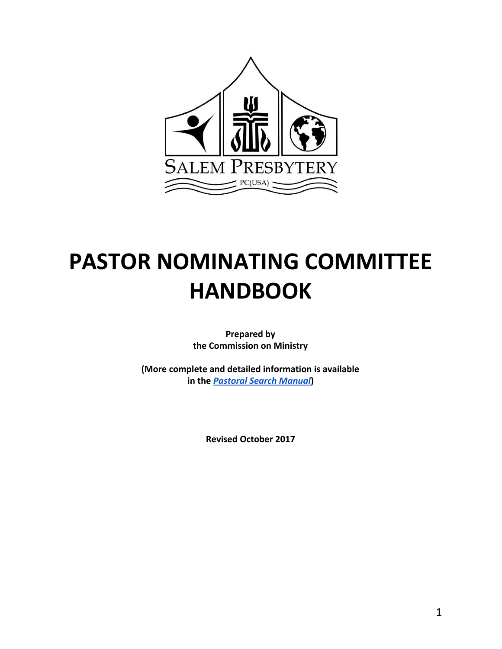

# **PASTOR NOMINATING COMMITTEE HANDBOOK**

**Prepared by the Commission on Ministry**

**(More complete and detailed information is available in the** *[Pastoral Search Manual](https://drive.google.com/open?id=1ZIEdIEMMWfHFbTdYmBHjrx9MQEvDtk0y85xmgATDclo)***)**

**Revised October 2017**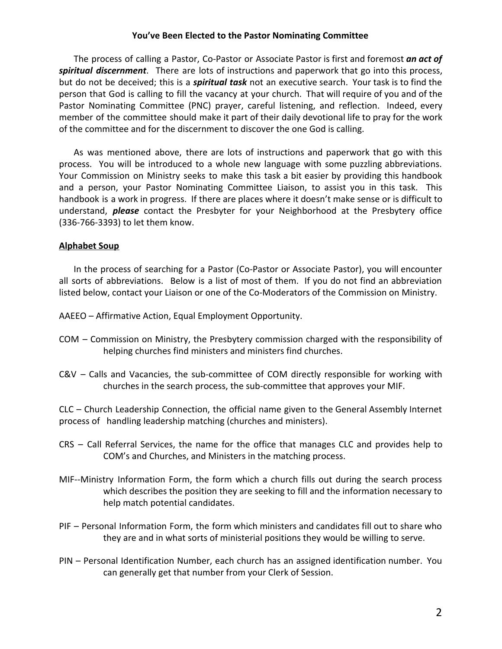# **You've Been Elected to the Pastor Nominating Committee**

The process of calling a Pastor, Co-Pastor or Associate Pastor is first and foremost *an act of spiritual discernment*. There are lots of instructions and paperwork that go into this process, but do not be deceived; this is a *spiritual task* not an executive search. Your task is to find the person that God is calling to fill the vacancy at your church. That will require of you and of the Pastor Nominating Committee (PNC) prayer, careful listening, and reflection. Indeed, every member of the committee should make it part of their daily devotional life to pray for the work of the committee and for the discernment to discover the one God is calling.

As was mentioned above, there are lots of instructions and paperwork that go with this process. You will be introduced to a whole new language with some puzzling abbreviations. Your Commission on Ministry seeks to make this task a bit easier by providing this handbook and a person, your Pastor Nominating Committee Liaison, to assist you in this task. This handbook is a work in progress. If there are places where it doesn't make sense or is difficult to understand, *please* contact the Presbyter for your Neighborhood at the Presbytery office (336-766-3393) to let them know.

# **Alphabet Soup**

In the process of searching for a Pastor (Co-Pastor or Associate Pastor), you will encounter all sorts of abbreviations. Below is a list of most of them. If you do not find an abbreviation listed below, contact your Liaison or one of the Co-Moderators of the Commission on Ministry.

AAEEO – Affirmative Action, Equal Employment Opportunity.

- COM Commission on Ministry, the Presbytery commission charged with the responsibility of helping churches find ministers and ministers find churches.
- C&V Calls and Vacancies, the sub-committee of COM directly responsible for working with churches in the search process, the sub-committee that approves your MIF.

CLC – Church Leadership Connection, the official name given to the General Assembly Internet process of handling leadership matching (churches and ministers).

- CRS Call Referral Services, the name for the office that manages CLC and provides help to COM's and Churches, and Ministers in the matching process.
- MIF--Ministry Information Form, the form which a church fills out during the search process which describes the position they are seeking to fill and the information necessary to help match potential candidates.
- PIF Personal Information Form, the form which ministers and candidates fill out to share who they are and in what sorts of ministerial positions they would be willing to serve.
- PIN Personal Identification Number, each church has an assigned identification number. You can generally get that number from your Clerk of Session.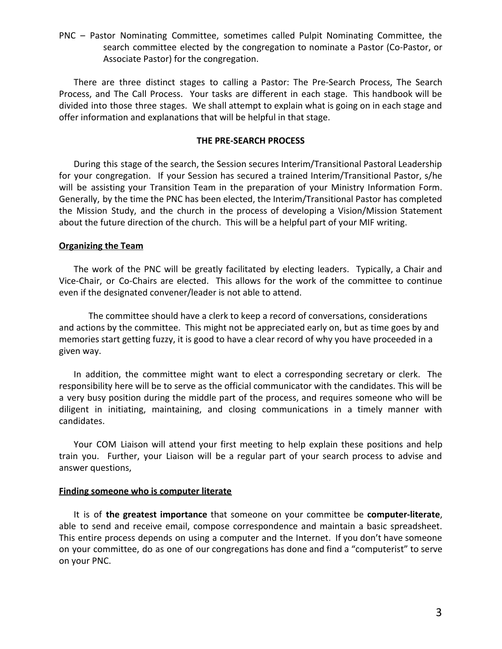PNC – Pastor Nominating Committee, sometimes called Pulpit Nominating Committee, the search committee elected by the congregation to nominate a Pastor (Co-Pastor, or Associate Pastor) for the congregation.

There are three distinct stages to calling a Pastor: The Pre-Search Process, The Search Process, and The Call Process. Your tasks are different in each stage. This handbook will be divided into those three stages. We shall attempt to explain what is going on in each stage and offer information and explanations that will be helpful in that stage.

## **THE PRE-SEARCH PROCESS**

During this stage of the search, the Session secures Interim/Transitional Pastoral Leadership for your congregation. If your Session has secured a trained Interim/Transitional Pastor, s/he will be assisting your Transition Team in the preparation of your Ministry Information Form. Generally, by the time the PNC has been elected, the Interim/Transitional Pastor has completed the Mission Study, and the church in the process of developing a Vision/Mission Statement about the future direction of the church. This will be a helpful part of your MIF writing.

## **Organizing the Team**

The work of the PNC will be greatly facilitated by electing leaders. Typically, a Chair and Vice-Chair, or Co-Chairs are elected. This allows for the work of the committee to continue even if the designated convener/leader is not able to attend.

The committee should have a clerk to keep a record of conversations, considerations and actions by the committee. This might not be appreciated early on, but as time goes by and memories start getting fuzzy, it is good to have a clear record of why you have proceeded in a given way.

In addition, the committee might want to elect a corresponding secretary or clerk. The responsibility here will be to serve as the official communicator with the candidates. This will be a very busy position during the middle part of the process, and requires someone who will be diligent in initiating, maintaining, and closing communications in a timely manner with candidates.

Your COM Liaison will attend your first meeting to help explain these positions and help train you. Further, your Liaison will be a regular part of your search process to advise and answer questions,

## **Finding someone who is computer literate**

It is of **the greatest importance** that someone on your committee be **computer-literate**, able to send and receive email, compose correspondence and maintain a basic spreadsheet. This entire process depends on using a computer and the Internet. If you don't have someone on your committee, do as one of our congregations has done and find a "computerist" to serve on your PNC.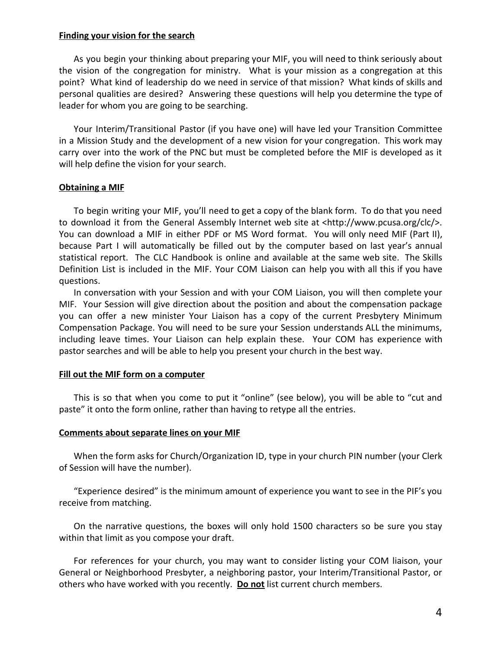## **Finding your vision for the search**

As you begin your thinking about preparing your MIF, you will need to think seriously about the vision of the congregation for ministry. What is your mission as a congregation at this point? What kind of leadership do we need in service of that mission? What kinds of skills and personal qualities are desired? Answering these questions will help you determine the type of leader for whom you are going to be searching.

Your Interim/Transitional Pastor (if you have one) will have led your Transition Committee in a Mission Study and the development of a new vision for your congregation. This work may carry over into the work of the PNC but must be completed before the MIF is developed as it will help define the vision for your search.

# **Obtaining a MIF**

To begin writing your MIF, you'll need to get a copy of the blank form. To do that you need to download it from the General Assembly Internet web site at <http://www.pcusa.org/clc/>. You can download a MIF in either PDF or MS Word format. You will only need MIF (Part II), because Part I will automatically be filled out by the computer based on last year's annual statistical report. The CLC Handbook is online and available at the same web site. The Skills Definition List is included in the MIF. Your COM Liaison can help you with all this if you have questions.

In conversation with your Session and with your COM Liaison, you will then complete your MIF. Your Session will give direction about the position and about the compensation package you can offer a new minister Your Liaison has a copy of the current Presbytery Minimum Compensation Package. You will need to be sure your Session understands ALL the minimums, including leave times. Your Liaison can help explain these. Your COM has experience with pastor searches and will be able to help you present your church in the best way.

## **Fill out the MIF form on a computer**

This is so that when you come to put it "online" (see below), you will be able to "cut and paste" it onto the form online, rather than having to retype all the entries.

## **Comments about separate lines on your MIF**

When the form asks for Church/Organization ID, type in your church PIN number (your Clerk of Session will have the number).

"Experience desired" is the minimum amount of experience you want to see in the PIF's you receive from matching.

On the narrative questions, the boxes will only hold 1500 characters so be sure you stay within that limit as you compose your draft.

For references for your church, you may want to consider listing your COM liaison, your General or Neighborhood Presbyter, a neighboring pastor, your Interim/Transitional Pastor, or others who have worked with you recently. **Do not** list current church members.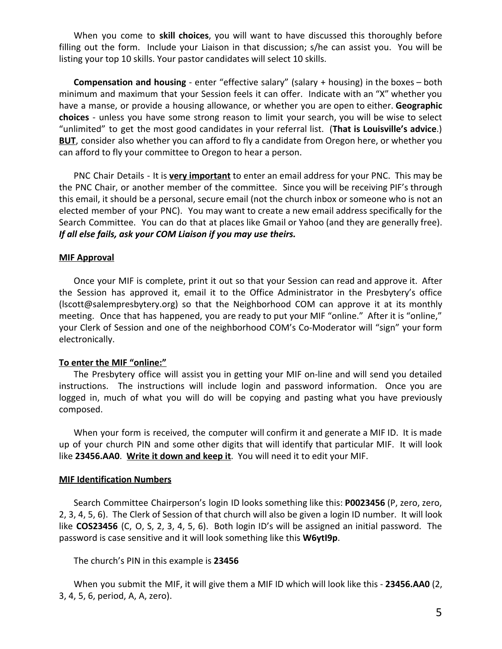When you come to **skill choices**, you will want to have discussed this thoroughly before filling out the form. Include your Liaison in that discussion; s/he can assist you. You will be listing your top 10 skills. Your pastor candidates will select 10 skills.

**Compensation and housing** - enter "effective salary" (salary + housing) in the boxes – both minimum and maximum that your Session feels it can offer. Indicate with an "X" whether you have a manse, or provide a housing allowance, or whether you are open to either. **Geographic choices** - unless you have some strong reason to limit your search, you will be wise to select "unlimited" to get the most good candidates in your referral list. (**That is Louisville's advice**.) **BUT**, consider also whether you can afford to fly a candidate from Oregon here, or whether you can afford to fly your committee to Oregon to hear a person.

PNC Chair Details - It is **very important** to enter an email address for your PNC. This may be the PNC Chair, or another member of the committee. Since you will be receiving PIF's through this email, it should be a personal, secure email (not the church inbox or someone who is not an elected member of your PNC). You may want to create a new email address specifically for the Search Committee. You can do that at places like Gmail or Yahoo (and they are generally free). *If all else fails, ask your COM Liaison if you may use theirs.*

## **MIF Approval**

Once your MIF is complete, print it out so that your Session can read and approve it. After the Session has approved it, email it to the Office Administrator in the Presbytery's office (lscott@salempresbytery.org) so that the Neighborhood COM can approve it at its monthly meeting. Once that has happened, you are ready to put your MIF "online." After it is "online," your Clerk of Session and one of the neighborhood COM's Co-Moderator will "sign" your form electronically.

### **To enter the MIF "online:"**

The Presbytery office will assist you in getting your MIF on-line and will send you detailed instructions. The instructions will include login and password information. Once you are logged in, much of what you will do will be copying and pasting what you have previously composed.

When your form is received, the computer will confirm it and generate a MIF ID. It is made up of your church PIN and some other digits that will identify that particular MIF. It will look like **23456.AA0**. **Write it down and keep it**. You will need it to edit your MIF.

## **MIF Identification Numbers**

Search Committee Chairperson's login ID looks something like this: **P0023456** (P, zero, zero, 2, 3, 4, 5, 6). The Clerk of Session of that church will also be given a login ID number. It will look like **COS23456** (C, O, S, 2, 3, 4, 5, 6). Both login ID's will be assigned an initial password. The password is case sensitive and it will look something like this **W6ytI9p**.

The church's PIN in this example is **23456**

When you submit the MIF, it will give them a MIF ID which will look like this - **23456.AA0** (2, 3, 4, 5, 6, period, A, A, zero).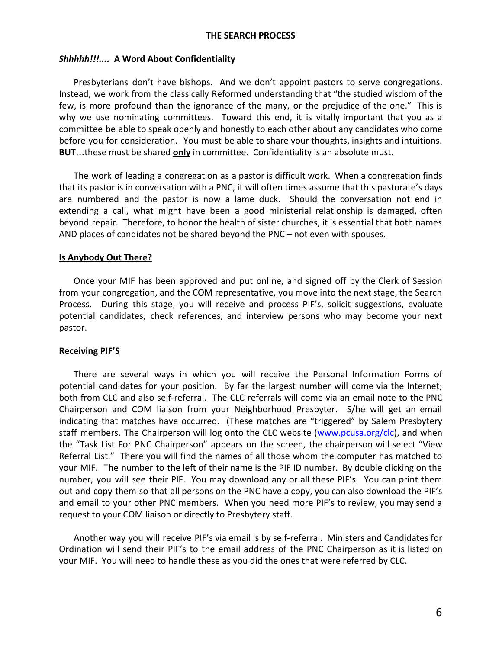## **THE SEARCH PROCESS**

#### *Shhhhh!!!....* **A Word About Confidentiality**

Presbyterians don't have bishops. And we don't appoint pastors to serve congregations. Instead, we work from the classically Reformed understanding that "the studied wisdom of the few, is more profound than the ignorance of the many, or the prejudice of the one." This is why we use nominating committees. Toward this end, it is vitally important that you as a committee be able to speak openly and honestly to each other about any candidates who come before you for consideration. You must be able to share your thoughts, insights and intuitions. **BUT**…these must be shared **only** in committee. Confidentiality is an absolute must.

The work of leading a congregation as a pastor is difficult work. When a congregation finds that its pastor is in conversation with a PNC, it will often times assume that this pastorate's days are numbered and the pastor is now a lame duck. Should the conversation not end in extending a call, what might have been a good ministerial relationship is damaged, often beyond repair. Therefore, to honor the health of sister churches, it is essential that both names AND places of candidates not be shared beyond the PNC – not even with spouses.

### **Is Anybody Out There?**

Once your MIF has been approved and put online, and signed off by the Clerk of Session from your congregation, and the COM representative, you move into the next stage, the Search Process. During this stage, you will receive and process PIF's, solicit suggestions, evaluate potential candidates, check references, and interview persons who may become your next pastor.

## **Receiving PIF'S**

There are several ways in which you will receive the Personal Information Forms of potential candidates for your position. By far the largest number will come via the Internet; both from CLC and also self-referral. The CLC referrals will come via an email note to the PNC Chairperson and COM liaison from your Neighborhood Presbyter. S/he will get an email indicating that matches have occurred. (These matches are "triggered" by Salem Presbytery staff members. The Chairperson will log onto the CLC website [\(www.pcusa.org/clc\)](http://www.pcusa.org/clc), and when the "Task List For PNC Chairperson" appears on the screen, the chairperson will select "View Referral List." There you will find the names of all those whom the computer has matched to your MIF. The number to the left of their name is the PIF ID number. By double clicking on the number, you will see their PIF. You may download any or all these PIF's. You can print them out and copy them so that all persons on the PNC have a copy, you can also download the PIF's and email to your other PNC members. When you need more PIF's to review, you may send a request to your COM liaison or directly to Presbytery staff.

Another way you will receive PIF's via email is by self-referral. Ministers and Candidates for Ordination will send their PIF's to the email address of the PNC Chairperson as it is listed on your MIF. You will need to handle these as you did the ones that were referred by CLC.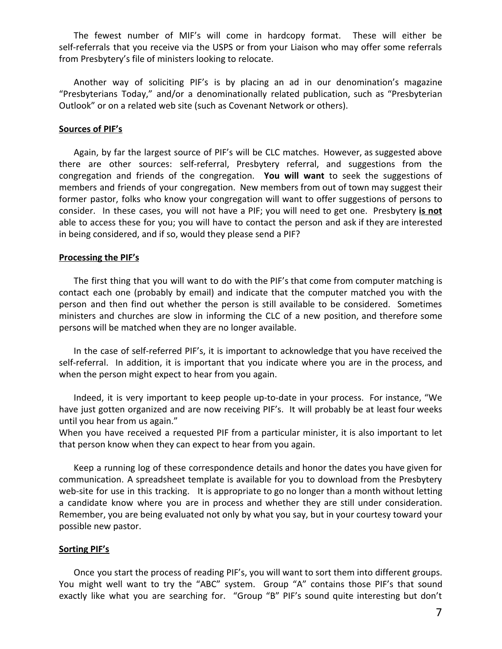The fewest number of MIF's will come in hardcopy format. These will either be self-referrals that you receive via the USPS or from your Liaison who may offer some referrals from Presbytery's file of ministers looking to relocate.

Another way of soliciting PIF's is by placing an ad in our denomination's magazine "Presbyterians Today," and/or a denominationally related publication, such as "Presbyterian Outlook" or on a related web site (such as Covenant Network or others).

## **Sources of PIF's**

Again, by far the largest source of PIF's will be CLC matches. However, as suggested above there are other sources: self-referral, Presbytery referral, and suggestions from the congregation and friends of the congregation. **You will want** to seek the suggestions of members and friends of your congregation. New members from out of town may suggest their former pastor, folks who know your congregation will want to offer suggestions of persons to consider. In these cases, you will not have a PIF; you will need to get one. Presbytery **is not** able to access these for you; you will have to contact the person and ask if they are interested in being considered, and if so, would they please send a PIF?

#### **Processing the PIF's**

The first thing that you will want to do with the PIF's that come from computer matching is contact each one (probably by email) and indicate that the computer matched you with the person and then find out whether the person is still available to be considered. Sometimes ministers and churches are slow in informing the CLC of a new position, and therefore some persons will be matched when they are no longer available.

In the case of self-referred PIF's, it is important to acknowledge that you have received the self-referral. In addition, it is important that you indicate where you are in the process, and when the person might expect to hear from you again.

Indeed, it is very important to keep people up-to-date in your process. For instance, "We have just gotten organized and are now receiving PIF's. It will probably be at least four weeks until you hear from us again."

When you have received a requested PIF from a particular minister, it is also important to let that person know when they can expect to hear from you again.

Keep a running log of these correspondence details and honor the dates you have given for communication. A spreadsheet template is available for you to download from the Presbytery web-site for use in this tracking. It is appropriate to go no longer than a month without letting a candidate know where you are in process and whether they are still under consideration. Remember, you are being evaluated not only by what you say, but in your courtesy toward your possible new pastor.

# **Sorting PIF's**

Once you start the process of reading PIF's, you will want to sort them into different groups. You might well want to try the "ABC" system. Group "A" contains those PIF's that sound exactly like what you are searching for. "Group "B" PIF's sound quite interesting but don't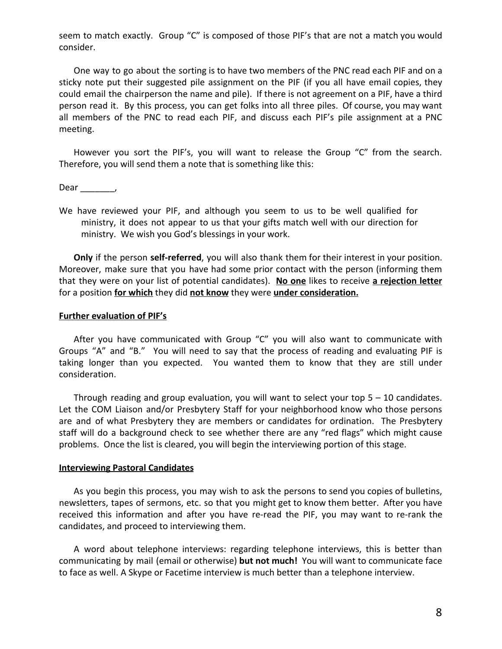seem to match exactly. Group "C" is composed of those PIF's that are not a match you would consider.

One way to go about the sorting is to have two members of the PNC read each PIF and on a sticky note put their suggested pile assignment on the PIF (if you all have email copies, they could email the chairperson the name and pile). If there is not agreement on a PIF, have a third person read it. By this process, you can get folks into all three piles. Of course, you may want all members of the PNC to read each PIF, and discuss each PIF's pile assignment at a PNC meeting.

However you sort the PIF's, you will want to release the Group "C" from the search. Therefore, you will send them a note that is something like this:

Dear \_\_\_\_\_\_\_\_\_\_,

We have reviewed your PIF, and although you seem to us to be well qualified for ministry, it does not appear to us that your gifts match well with our direction for ministry. We wish you God's blessings in your work.

**Only** if the person **self-referred**, you will also thank them for their interest in your position. Moreover, make sure that you have had some prior contact with the person (informing them that they were on your list of potential candidates). **No one** likes to receive **a rejection letter** for a position **for which** they did **not know** they were **under consideration.**

#### **Further evaluation of PIF's**

After you have communicated with Group "C" you will also want to communicate with Groups "A" and "B." You will need to say that the process of reading and evaluating PIF is taking longer than you expected. You wanted them to know that they are still under consideration.

Through reading and group evaluation, you will want to select your top  $5 - 10$  candidates. Let the COM Liaison and/or Presbytery Staff for your neighborhood know who those persons are and of what Presbytery they are members or candidates for ordination. The Presbytery staff will do a background check to see whether there are any "red flags" which might cause problems. Once the list is cleared, you will begin the interviewing portion of this stage.

#### **Interviewing Pastoral Candidates**

As you begin this process, you may wish to ask the persons to send you copies of bulletins, newsletters, tapes of sermons, etc. so that you might get to know them better. After you have received this information and after you have re-read the PIF, you may want to re-rank the candidates, and proceed to interviewing them.

A word about telephone interviews: regarding telephone interviews, this is better than communicating by mail (email or otherwise) **but not much!** You will want to communicate face to face as well. A Skype or Facetime interview is much better than a telephone interview.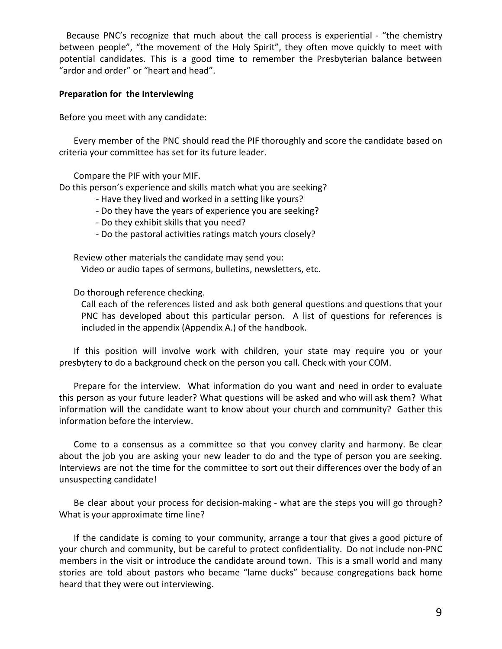Because PNC's recognize that much about the call process is experiential - "the chemistry between people", "the movement of the Holy Spirit", they often move quickly to meet with potential candidates. This is a good time to remember the Presbyterian balance between "ardor and order" or "heart and head".

# **Preparation for the Interviewing**

Before you meet with any candidate:

Every member of the PNC should read the PIF thoroughly and score the candidate based on criteria your committee has set for its future leader.

Compare the PIF with your MIF.

Do this person's experience and skills match what you are seeking?

- Have they lived and worked in a setting like yours?
- Do they have the years of experience you are seeking?
- Do they exhibit skills that you need?
- Do the pastoral activities ratings match yours closely?

Review other materials the candidate may send you: Video or audio tapes of sermons, bulletins, newsletters, etc.

Do thorough reference checking.

Call each of the references listed and ask both general questions and questions that your PNC has developed about this particular person. A list of questions for references is included in the appendix (Appendix A.) of the handbook.

If this position will involve work with children, your state may require you or your presbytery to do a background check on the person you call. Check with your COM.

Prepare for the interview. What information do you want and need in order to evaluate this person as your future leader? What questions will be asked and who will ask them? What information will the candidate want to know about your church and community? Gather this information before the interview.

Come to a consensus as a committee so that you convey clarity and harmony. Be clear about the job you are asking your new leader to do and the type of person you are seeking. Interviews are not the time for the committee to sort out their differences over the body of an unsuspecting candidate!

Be clear about your process for decision-making - what are the steps you will go through? What is your approximate time line?

If the candidate is coming to your community, arrange a tour that gives a good picture of your church and community, but be careful to protect confidentiality. Do not include non-PNC members in the visit or introduce the candidate around town. This is a small world and many stories are told about pastors who became "lame ducks" because congregations back home heard that they were out interviewing.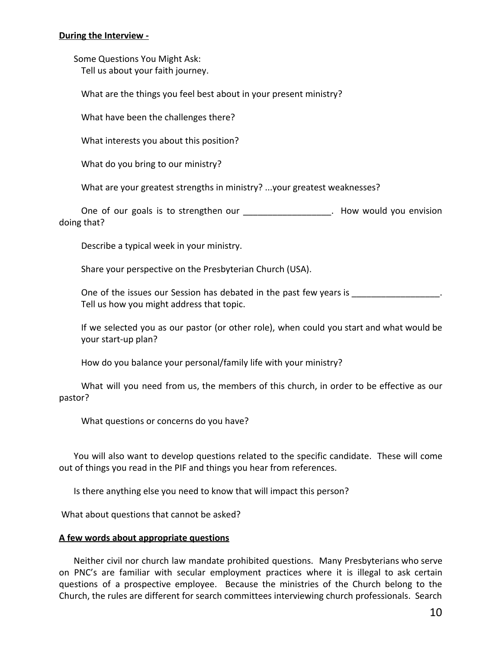# **During the Interview -**

Some Questions You Might Ask: Tell us about your faith journey.

What are the things you feel best about in your present ministry?

What have been the challenges there?

What interests you about this position?

What do you bring to our ministry?

What are your greatest strengths in ministry? ...your greatest weaknesses?

One of our goals is to strengthen our **Example 20** - How would you envision doing that?

Describe a typical week in your ministry.

Share your perspective on the Presbyterian Church (USA).

One of the issues our Session has debated in the past few years is Tell us how you might address that topic.

If we selected you as our pastor (or other role), when could you start and what would be your start-up plan?

How do you balance your personal/family life with your ministry?

What will you need from us, the members of this church, in order to be effective as our pastor?

What questions or concerns do you have?

You will also want to develop questions related to the specific candidate. These will come out of things you read in the PIF and things you hear from references.

Is there anything else you need to know that will impact this person?

What about questions that cannot be asked?

# **A few words about appropriate questions**

Neither civil nor church law mandate prohibited questions. Many Presbyterians who serve on PNC's are familiar with secular employment practices where it is illegal to ask certain questions of a prospective employee. Because the ministries of the Church belong to the Church, the rules are different for search committees interviewing church professionals. Search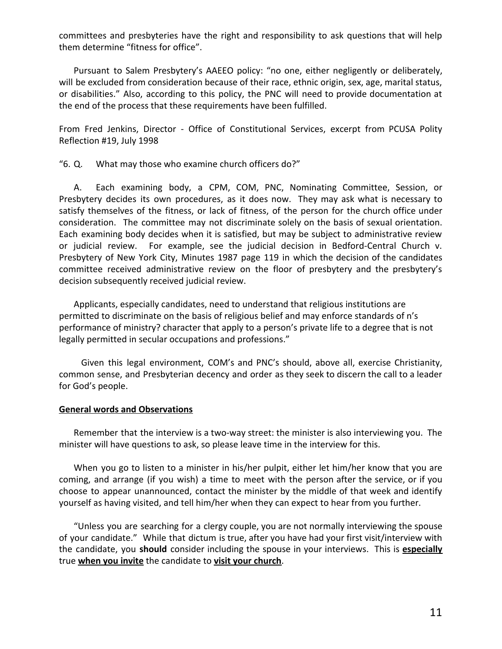committees and presbyteries have the right and responsibility to ask questions that will help them determine "fitness for office".

Pursuant to Salem Presbytery's AAEEO policy: "no one, either negligently or deliberately, will be excluded from consideration because of their race, ethnic origin, sex, age, marital status, or disabilities." Also, according to this policy, the PNC will need to provide documentation at the end of the process that these requirements have been fulfilled.

From Fred Jenkins, Director - Office of Constitutional Services, excerpt from PCUSA Polity Reflection #19, July 1998

"6. Q. What may those who examine church officers do?"

A. Each examining body, a CPM, COM, PNC, Nominating Committee, Session, or Presbytery decides its own procedures, as it does now. They may ask what is necessary to satisfy themselves of the fitness, or lack of fitness, of the person for the church office under consideration. The committee may not discriminate solely on the basis of sexual orientation. Each examining body decides when it is satisfied, but may be subject to administrative review or judicial review. For example, see the judicial decision in Bedford-Central Church v. Presbytery of New York City, Minutes 1987 page 119 in which the decision of the candidates committee received administrative review on the floor of presbytery and the presbytery's decision subsequently received judicial review.

Applicants, especially candidates, need to understand that religious institutions are permitted to discriminate on the basis of religious belief and may enforce standards of n's performance of ministry? character that apply to a person's private life to a degree that is not legally permitted in secular occupations and professions."

Given this legal environment, COM's and PNC's should, above all, exercise Christianity, common sense, and Presbyterian decency and order as they seek to discern the call to a leader for God's people.

## **General words and Observations**

Remember that the interview is a two-way street: the minister is also interviewing you. The minister will have questions to ask, so please leave time in the interview for this.

When you go to listen to a minister in his/her pulpit, either let him/her know that you are coming, and arrange (if you wish) a time to meet with the person after the service, or if you choose to appear unannounced, contact the minister by the middle of that week and identify yourself as having visited, and tell him/her when they can expect to hear from you further.

"Unless you are searching for a clergy couple, you are not normally interviewing the spouse of your candidate." While that dictum is true, after you have had your first visit/interview with the candidate, you **should** consider including the spouse in your interviews. This is **especially** true **when you invite** the candidate to **visit your church**.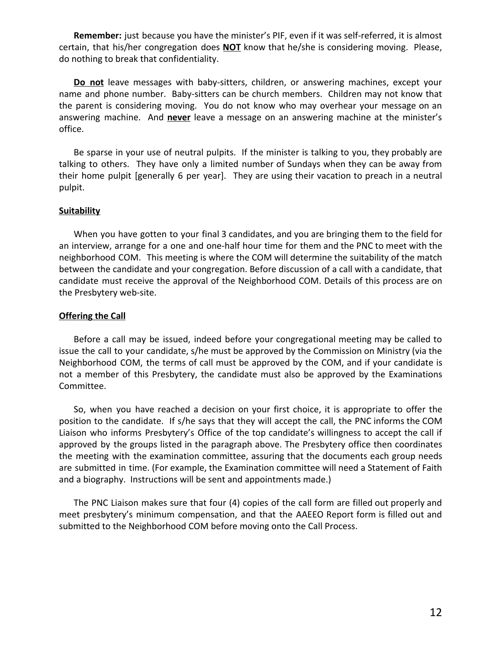**Remember:** just because you have the minister's PIF, even if it was self-referred, it is almost certain, that his/her congregation does **NOT** know that he/she is considering moving. Please, do nothing to break that confidentiality.

**Do not** leave messages with baby-sitters, children, or answering machines, except your name and phone number. Baby-sitters can be church members. Children may not know that the parent is considering moving. You do not know who may overhear your message on an answering machine. And **never** leave a message on an answering machine at the minister's office.

Be sparse in your use of neutral pulpits. If the minister is talking to you, they probably are talking to others. They have only a limited number of Sundays when they can be away from their home pulpit [generally 6 per year]. They are using their vacation to preach in a neutral pulpit.

# **Suitability**

When you have gotten to your final 3 candidates, and you are bringing them to the field for an interview, arrange for a one and one-half hour time for them and the PNC to meet with the neighborhood COM. This meeting is where the COM will determine the suitability of the match between the candidate and your congregation. Before discussion of a call with a candidate, that candidate must receive the approval of the Neighborhood COM. Details of this process are on the Presbytery web-site.

# **Offering the Call**

Before a call may be issued, indeed before your congregational meeting may be called to issue the call to your candidate, s/he must be approved by the Commission on Ministry (via the Neighborhood COM, the terms of call must be approved by the COM, and if your candidate is not a member of this Presbytery, the candidate must also be approved by the Examinations Committee.

So, when you have reached a decision on your first choice, it is appropriate to offer the position to the candidate. If s/he says that they will accept the call, the PNC informs the COM Liaison who informs Presbytery's Office of the top candidate's willingness to accept the call if approved by the groups listed in the paragraph above. The Presbytery office then coordinates the meeting with the examination committee, assuring that the documents each group needs are submitted in time. (For example, the Examination committee will need a Statement of Faith and a biography. Instructions will be sent and appointments made.)

The PNC Liaison makes sure that four (4) copies of the call form are filled out properly and meet presbytery's minimum compensation, and that the AAEEO Report form is filled out and submitted to the Neighborhood COM before moving onto the Call Process.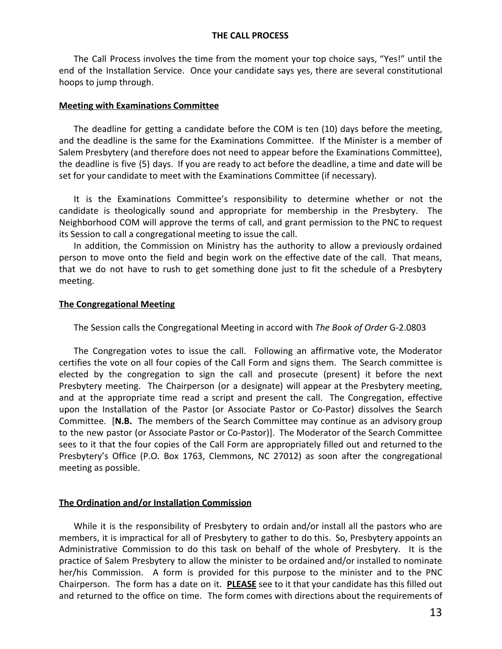# **THE CALL PROCESS**

The Call Process involves the time from the moment your top choice says, "Yes!" until the end of the Installation Service. Once your candidate says yes, there are several constitutional hoops to jump through.

## **Meeting with Examinations Committee**

The deadline for getting a candidate before the COM is ten (10) days before the meeting, and the deadline is the same for the Examinations Committee. If the Minister is a member of Salem Presbytery (and therefore does not need to appear before the Examinations Committee), the deadline is five (5) days. If you are ready to act before the deadline, a time and date will be set for your candidate to meet with the Examinations Committee (if necessary).

It is the Examinations Committee's responsibility to determine whether or not the candidate is theologically sound and appropriate for membership in the Presbytery. The Neighborhood COM will approve the terms of call, and grant permission to the PNC to request its Session to call a congregational meeting to issue the call.

In addition, the Commission on Ministry has the authority to allow a previously ordained person to move onto the field and begin work on the effective date of the call. That means, that we do not have to rush to get something done just to fit the schedule of a Presbytery meeting.

# **The Congregational Meeting**

The Session calls the Congregational Meeting in accord with *The Book of Order* G-2.0803

The Congregation votes to issue the call. Following an affirmative vote, the Moderator certifies the vote on all four copies of the Call Form and signs them. The Search committee is elected by the congregation to sign the call and prosecute (present) it before the next Presbytery meeting. The Chairperson (or a designate) will appear at the Presbytery meeting, and at the appropriate time read a script and present the call. The Congregation, effective upon the Installation of the Pastor (or Associate Pastor or Co-Pastor) dissolves the Search Committee. [**N.B.** The members of the Search Committee may continue as an advisory group to the new pastor (or Associate Pastor or Co-Pastor)]. The Moderator of the Search Committee sees to it that the four copies of the Call Form are appropriately filled out and returned to the Presbytery's Office (P.O. Box 1763, Clemmons, NC 27012) as soon after the congregational meeting as possible.

# **The Ordination and/or Installation Commission**

While it is the responsibility of Presbytery to ordain and/or install all the pastors who are members, it is impractical for all of Presbytery to gather to do this. So, Presbytery appoints an Administrative Commission to do this task on behalf of the whole of Presbytery. It is the practice of Salem Presbytery to allow the minister to be ordained and/or installed to nominate her/his Commission. A form is provided for this purpose to the minister and to the PNC Chairperson. The form has a date on it. **PLEASE** see to it that your candidate has this filled out and returned to the office on time. The form comes with directions about the requirements of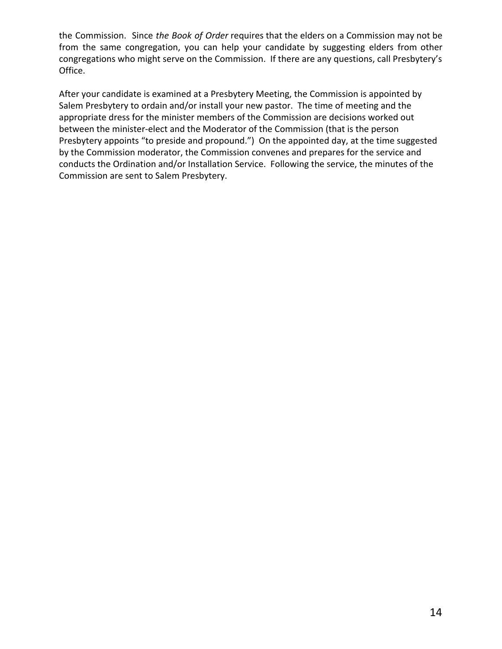the Commission. Since *the Book of Order* requires that the elders on a Commission may not be from the same congregation, you can help your candidate by suggesting elders from other congregations who might serve on the Commission. If there are any questions, call Presbytery's Office.

After your candidate is examined at a Presbytery Meeting, the Commission is appointed by Salem Presbytery to ordain and/or install your new pastor. The time of meeting and the appropriate dress for the minister members of the Commission are decisions worked out between the minister-elect and the Moderator of the Commission (that is the person Presbytery appoints "to preside and propound.") On the appointed day, at the time suggested by the Commission moderator, the Commission convenes and prepares for the service and conducts the Ordination and/or Installation Service. Following the service, the minutes of the Commission are sent to Salem Presbytery.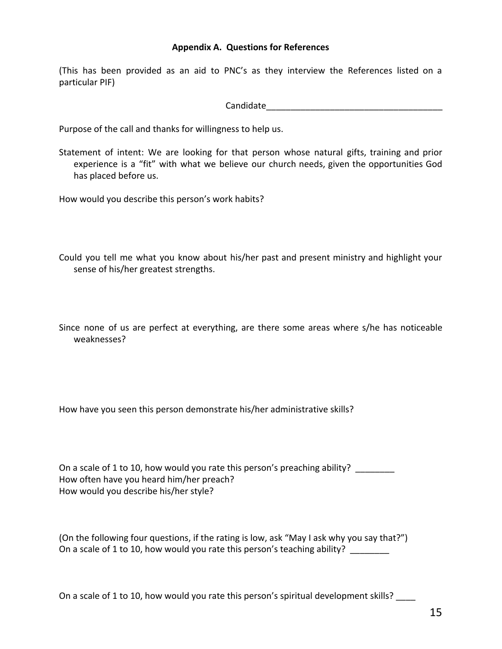# **Appendix A. Questions for References**

(This has been provided as an aid to PNC's as they interview the References listed on a particular PIF)

Candidate\_\_\_\_\_\_\_\_\_\_\_\_\_\_\_\_\_\_\_\_\_\_\_\_\_\_\_\_\_\_\_\_\_\_\_\_

Purpose of the call and thanks for willingness to help us.

Statement of intent: We are looking for that person whose natural gifts, training and prior experience is a "fit" with what we believe our church needs, given the opportunities God has placed before us.

How would you describe this person's work habits?

Could you tell me what you know about his/her past and present ministry and highlight your sense of his/her greatest strengths.

Since none of us are perfect at everything, are there some areas where s/he has noticeable weaknesses?

How have you seen this person demonstrate his/her administrative skills?

On a scale of 1 to 10, how would you rate this person's preaching ability? How often have you heard him/her preach? How would you describe his/her style?

(On the following four questions, if the rating is low, ask "May I ask why you say that?") On a scale of 1 to 10, how would you rate this person's teaching ability?

On a scale of 1 to 10, how would you rate this person's spiritual development skills?